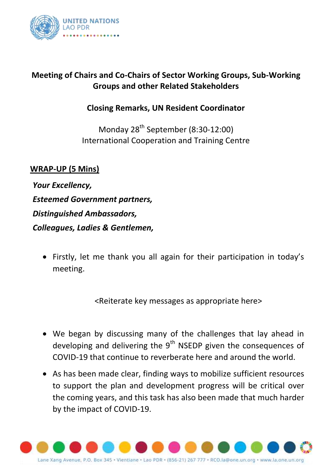

## **Meeting of Chairs and Co-Chairs of Sector Working Groups, Sub-Working Groups and other Related Stakeholders**

## **Closing Remarks, UN Resident Coordinator**

Monday 28<sup>th</sup> September (8:30-12:00) International Cooperation and Training Centre

**WRAP-UP (5 Mins)**

*Your Excellency, Esteemed Government partners, Distinguished Ambassadors, Colleagues, Ladies & Gentlemen,*

 Firstly, let me thank you all again for their participation in today's meeting.

<Reiterate key messages as appropriate here>

- We began by discussing many of the challenges that lay ahead in developing and delivering the  $9<sup>th</sup>$  NSEDP given the consequences of COVID-19 that continue to reverberate here and around the world.
- As has been made clear, finding ways to mobilize sufficient resources to support the plan and development progress will be critical over the coming years, and this task has also been made that much harder by the impact of COVID-19.

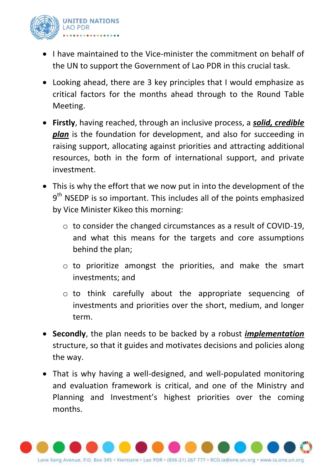

- I have maintained to the Vice-minister the commitment on behalf of the UN to support the Government of Lao PDR in this crucial task.
- Looking ahead, there are 3 key principles that I would emphasize as critical factors for the months ahead through to the Round Table Meeting.
- **Firstly**, having reached, through an inclusive process, a *solid, credible plan* is the foundation for development, and also for succeeding in raising support, allocating against priorities and attracting additional resources, both in the form of international support, and private investment.
- This is why the effort that we now put in into the development of the  $9<sup>th</sup>$  NSEDP is so important. This includes all of the points emphasized by Vice Minister Kikeo this morning:
	- o to consider the changed circumstances as a result of COVID-19, and what this means for the targets and core assumptions behind the plan;
	- o to prioritize amongst the priorities, and make the smart investments; and
	- o to think carefully about the appropriate sequencing of investments and priorities over the short, medium, and longer term.
- **Secondly**, the plan needs to be backed by a robust *implementation* structure, so that it guides and motivates decisions and policies along the way.
- That is why having a well-designed, and well-populated monitoring and evaluation framework is critical, and one of the Ministry and Planning and Investment's highest priorities over the coming months.